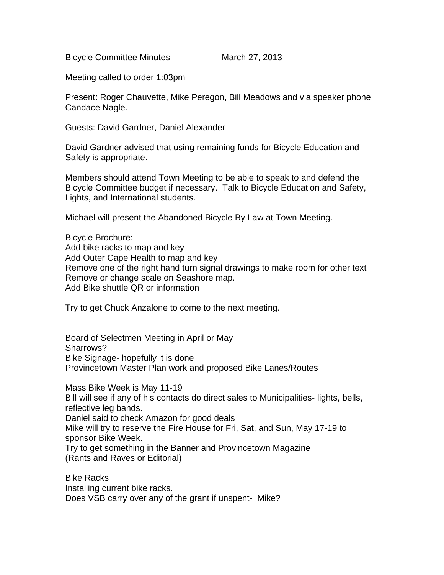Bicycle Committee Minutes March 27, 2013

Meeting called to order 1:03pm

Present: Roger Chauvette, Mike Peregon, Bill Meadows and via speaker phone Candace Nagle.

Guests: David Gardner, Daniel Alexander

David Gardner advised that using remaining funds for Bicycle Education and Safety is appropriate.

Members should attend Town Meeting to be able to speak to and defend the Bicycle Committee budget if necessary. Talk to Bicycle Education and Safety, Lights, and International students.

Michael will present the Abandoned Bicycle By Law at Town Meeting.

Bicycle Brochure: Add bike racks to map and key Add Outer Cape Health to map and key Remove one of the right hand turn signal drawings to make room for other text Remove or change scale on Seashore map. Add Bike shuttle QR or information

Try to get Chuck Anzalone to come to the next meeting.

Board of Selectmen Meeting in April or May Sharrows? Bike Signage- hopefully it is done Provincetown Master Plan work and proposed Bike Lanes/Routes

Mass Bike Week is May 11-19 Bill will see if any of his contacts do direct sales to Municipalities- lights, bells, reflective leg bands. Daniel said to check Amazon for good deals Mike will try to reserve the Fire House for Fri, Sat, and Sun, May 17-19 to sponsor Bike Week. Try to get something in the Banner and Provincetown Magazine (Rants and Raves or Editorial)

Bike Racks Installing current bike racks. Does VSB carry over any of the grant if unspent- Mike?